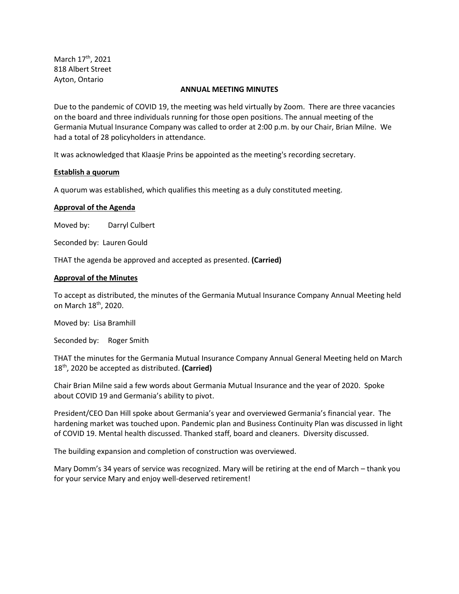March 17<sup>th</sup>, 2021 818 Albert Street Ayton, Ontario

#### **ANNUAL MEETING MINUTES**

Due to the pandemic of COVID 19, the meeting was held virtually by Zoom. There are three vacancies on the board and three individuals running for those open positions. The annual meeting of the Germania Mutual Insurance Company was called to order at 2:00 p.m. by our Chair, Brian Milne. We had a total of 28 policyholders in attendance.

It was acknowledged that Klaasje Prins be appointed as the meeting's recording secretary.

### **Establish a quorum**

A quorum was established, which qualifies this meeting as a duly constituted meeting.

# **Approval of the Agenda**

Moved by: Darryl Culbert

Seconded by: Lauren Gould

THAT the agenda be approved and accepted as presented. **(Carried)**

### **Approval of the Minutes**

To accept as distributed, the minutes of the Germania Mutual Insurance Company Annual Meeting held on March 18<sup>th</sup>, 2020.

Moved by: Lisa Bramhill

Seconded by: Roger Smith

THAT the minutes for the Germania Mutual Insurance Company Annual General Meeting held on March 18th, 2020 be accepted as distributed. **(Carried)**

Chair Brian Milne said a few words about Germania Mutual Insurance and the year of 2020. Spoke about COVID 19 and Germania's ability to pivot.

President/CEO Dan Hill spoke about Germania's year and overviewed Germania's financial year. The hardening market was touched upon. Pandemic plan and Business Continuity Plan was discussed in light of COVID 19. Mental health discussed. Thanked staff, board and cleaners. Diversity discussed.

The building expansion and completion of construction was overviewed.

Mary Domm's 34 years of service was recognized. Mary will be retiring at the end of March – thank you for your service Mary and enjoy well-deserved retirement!